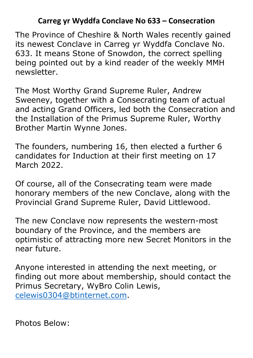## **Carreg yr Wyddfa Conclave No 633 – Consecration**

The Province of Cheshire & North Wales recently gained its newest Conclave in Carreg yr Wyddfa Conclave No. 633. It means Stone of Snowdon, the correct spelling being pointed out by a kind reader of the weekly MMH newsletter.

The Most Worthy Grand Supreme Ruler, Andrew Sweeney, together with a Consecrating team of actual and acting Grand Officers, led both the Consecration and the Installation of the Primus Supreme Ruler, Worthy Brother Martin Wynne Jones.

The founders, numbering 16, then elected a further 6 candidates for Induction at their first meeting on 17 March 2022.

Of course, all of the Consecrating team were made honorary members of the new Conclave, along with the Provincial Grand Supreme Ruler, David Littlewood.

The new Conclave now represents the western-most boundary of the Province, and the members are optimistic of attracting more new Secret Monitors in the near future.

Anyone interested in attending the next meeting, or finding out more about membership, should contact the Primus Secretary, WyBro Colin Lewis, celewis0304@btinternet.com.

Photos Below: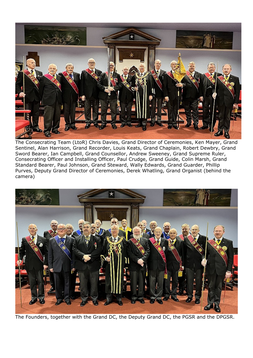

The Consecrating Team (LtoR) Chris Davies, Grand Director of Ceremonies, Ken Mayer, Grand Sentinel, Alan Harrison, Grand Recorder, Louis Keats, Grand Chaplain, Robert Dewbry, Grand Sword Bearer, Ian Campbell, Grand Counsellor, Andrew Sweeney, Grand Supreme Ruler, Consecrating Officer and Installing Officer, Paul Crudge, Grand Guide, Colin Marsh, Grand Standard Bearer, Paul Johnson, Grand Steward, Wally Edwards, Grand Guarder, Phillip Purves, Deputy Grand Director of Ceremonies, Derek Whatling, Grand Organist (behind the camera)



The Founders, together with the Grand DC, the Deputy Grand DC, the PGSR and the DPGSR.